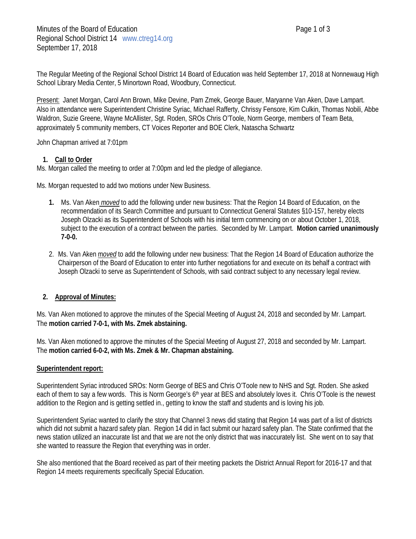The Regular Meeting of the Regional School District 14 Board of Education was held September 17, 2018 at Nonnewaug High School Library Media Center, 5 Minortown Road, Woodbury, Connecticut.

Present: Janet Morgan, Carol Ann Brown, Mike Devine, Pam Zmek, George Bauer, Maryanne Van Aken, Dave Lampart. Also in attendance were Superintendent Christine Syriac, Michael Rafferty, Chrissy Fensore, Kim Culkin, Thomas Nobili, Abbe Waldron, Suzie Greene, Wayne McAllister, Sgt. Roden, SROs Chris O'Toole, Norm George, members of Team Beta, approximately 5 community members, CT Voices Reporter and BOE Clerk, Natascha Schwartz

John Chapman arrived at 7:01pm

## **1. Call to Order**

Ms. Morgan called the meeting to order at 7:00pm and led the pledge of allegiance.

Ms. Morgan requested to add two motions under New Business.

- **1.** Ms. Van Aken *moved* to add the following under new business: That the Region 14 Board of Education, on the recommendation of its Search Committee and pursuant to Connecticut General Statutes §10-157, hereby elects Joseph Olzacki as its Superintendent of Schools with his initial term commencing on or about October 1, 2018, subject to the execution of a contract between the parties. Seconded by Mr. Lampart. **Motion carried unanimously 7-0-0.**
- 2. Ms. Van Aken m*oved* to add the following under new business: That the Region 14 Board of Education authorize the Chairperson of the Board of Education to enter into further negotiations for and execute on its behalf a contract with Joseph Olzacki to serve as Superintendent of Schools, with said contract subject to any necessary legal review.

# **2. Approval of Minutes:**

Ms. Van Aken motioned to approve the minutes of the Special Meeting of August 24, 2018 and seconded by Mr. Lampart. The **motion carried 7-0-1, with Ms. Zmek abstaining.**

Ms. Van Aken motioned to approve the minutes of the Special Meeting of August 27, 2018 and seconded by Mr. Lampart. The **motion carried 6-0-2, with Ms. Zmek & Mr. Chapman abstaining.**

#### **Superintendent report:**

Superintendent Syriac introduced SROs: Norm George of BES and Chris O'Toole new to NHS and Sgt. Roden. She asked each of them to say a few words. This is Norm George's 6<sup>th</sup> year at BES and absolutely loves it. Chris O'Toole is the newest addition to the Region and is getting settled in., getting to know the staff and students and is loving his job.

Superintendent Syriac wanted to clarify the story that Channel 3 news did stating that Region 14 was part of a list of districts which did not submit a hazard safety plan. Region 14 did in fact submit our hazard safety plan. The State confirmed that the news station utilized an inaccurate list and that we are not the only district that was inaccurately list. She went on to say that she wanted to reassure the Region that everything was in order.

She also mentioned that the Board received as part of their meeting packets the District Annual Report for 2016-17 and that Region 14 meets requirements specifically Special Education.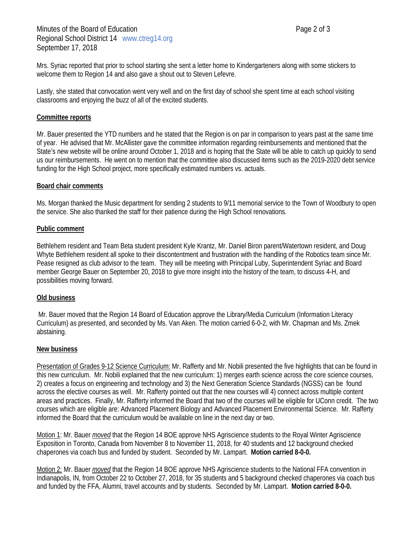Mrs. Syriac reported that prior to school starting she sent a letter home to Kindergarteners along with some stickers to welcome them to Region 14 and also gave a shout out to Steven Lefevre.

Lastly, she stated that convocation went very well and on the first day of school she spent time at each school visiting classrooms and enjoying the buzz of all of the excited students.

#### **Committee reports**

Mr. Bauer presented the YTD numbers and he stated that the Region is on par in comparison to years past at the same time of year. He advised that Mr. McAllister gave the committee information regarding reimbursements and mentioned that the State's new website will be online around October 1, 2018 and is hoping that the State will be able to catch up quickly to send us our reimbursements. He went on to mention that the committee also discussed items such as the 2019-2020 debt service funding for the High School project, more specifically estimated numbers vs. actuals.

#### **Board chair comments**

Ms. Morgan thanked the Music department for sending 2 students to 9/11 memorial service to the Town of Woodbury to open the service. She also thanked the staff for their patience during the High School renovations.

## **Public comment**

Bethlehem resident and Team Beta student president Kyle Krantz, Mr. Daniel Biron parent/Watertown resident, and Doug Whyte Bethlehem resident all spoke to their discontentment and frustration with the handling of the Robotics team since Mr. Pease resigned as club advisor to the team. They will be meeting with Principal Luby, Superintendent Syriac and Board member George Bauer on September 20, 2018 to give more insight into the history of the team, to discuss 4-H, and possibilities moving forward.

#### **Old business**

Mr. Bauer moved that the Region 14 Board of Education approve the Library/Media Curriculum (Information Literacy Curriculum) as presented, and seconded by Ms. Van Aken. The motion carried 6-0-2, with Mr. Chapman and Ms. Zmek abstaining.

#### **New business**

Presentation of Grades 9-12 Science Curriculum: Mr. Rafferty and Mr. Nobili presented the five highlights that can be found in this new curriculum. Mr. Nobili explained that the new curriculum: 1) merges earth science across the core science courses, 2) creates a focus on engineering and technology and 3) the Next Generation Science Standards (NGSS) can be found across the elective courses as well. Mr. Rafferty pointed out that the new courses will 4) connect across multiple content areas and practices. Finally, Mr. Rafferty informed the Board that two of the courses will be eligible for UConn credit. The two courses which are eligible are: Advanced Placement Biology and Advanced Placement Environmental Science. Mr. Rafferty informed the Board that the curriculum would be available on line in the next day or two.

Motion 1: Mr. Bauer *moved* that the Region 14 BOE approve NHS Agriscience students to the Royal Winter Agriscience Exposition in Toronto, Canada from November 8 to November 11, 2018, for 40 students and 12 background checked chaperones via coach bus and funded by student. Seconded by Mr. Lampart. **Motion carried 8-0-0.**

Motion 2: Mr. Bauer *moved* that the Region 14 BOE approve NHS Agriscience students to the National FFA convention in Indianapolis, IN, from October 22 to October 27, 2018, for 35 students and 5 background checked chaperones via coach bus and funded by the FFA, Alumni, travel accounts and by students. Seconded by Mr. Lampart. **Motion carried 8-0-0.**